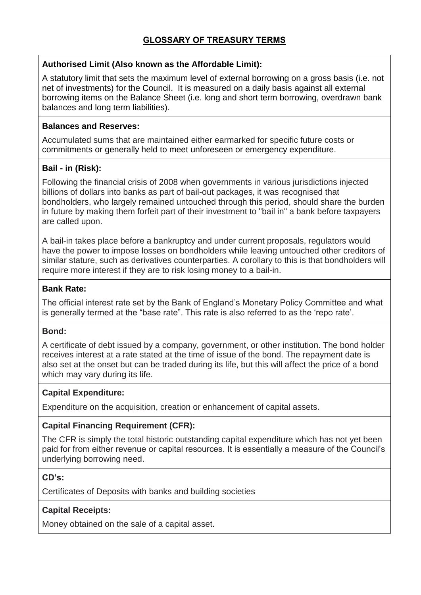### **Authorised Limit (Also known as the Affordable Limit):**

A statutory limit that sets the maximum level of external borrowing on a gross basis (i.e. not net of investments) for the Council. It is measured on a daily basis against all external borrowing items on the Balance Sheet (i.e. long and short term borrowing, overdrawn bank balances and long term liabilities).

#### **Balances and Reserves:**

Accumulated sums that are maintained either earmarked for specific future costs or commitments or generally held to meet unforeseen or emergency expenditure.

### **Bail - in (Risk):**

Following the financial crisis of 2008 when governments in various jurisdictions injected billions of dollars into banks as part of bail-out packages, it was recognised that bondholders, who largely remained untouched through this period, should share the burden in future by making them forfeit part of their investment to "bail in" a bank before taxpayers are called upon.

A bail-in takes place before a bankruptcy and under current proposals, regulators would have the power to impose losses on bondholders while leaving untouched other creditors of similar stature, such as derivatives counterparties. A corollary to this is that bondholders will require more interest if they are to risk losing money to a bail-in.

### **Bank Rate:**

The official interest rate set by the Bank of England's Monetary Policy Committee and what is generally termed at the "base rate". This rate is also referred to as the 'repo rate'.

### **Bond:**

A certificate of debt issued by a company, government, or other institution. The bond holder receives interest at a rate stated at the time of issue of the bond. The repayment date is also set at the onset but can be traded during its life, but this will affect the price of a bond which may vary during its life.

### **Capital Expenditure:**

Expenditure on the acquisition, creation or enhancement of capital assets.

### **Capital Financing Requirement (CFR):**

The CFR is simply the total historic outstanding capital expenditure which has not yet been paid for from either revenue or capital resources. It is essentially a measure of the Council's underlying borrowing need.

### **CD's:**

Certificates of Deposits with banks and building societies

### **Capital Receipts:**

Money obtained on the sale of a capital asset.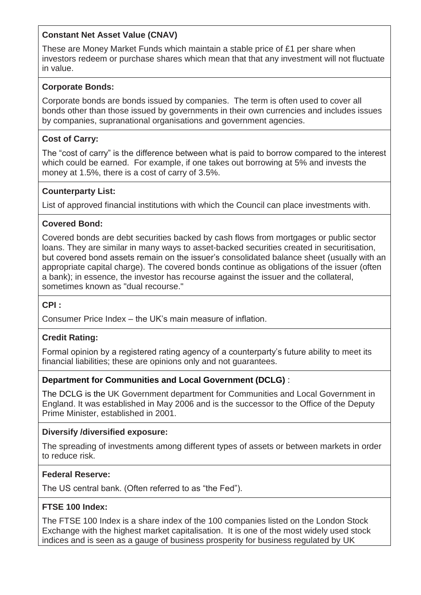# **Constant Net Asset Value (CNAV)**

These are Money Market Funds which maintain a stable price of £1 per share when investors redeem or purchase shares which mean that that any investment will not fluctuate in value.

#### **Corporate Bonds:**

Corporate bonds are bonds issued by companies. The term is often used to cover all bonds other than those issued by governments in their own currencies and includes issues by companies, supranational organisations and government agencies.

#### **Cost of Carry:**

The "cost of carry" is the difference between what is paid to borrow compared to the interest which could be earned. For example, if one takes out borrowing at 5% and invests the money at 1.5%, there is a cost of carry of 3.5%.

### **Counterparty List:**

List of approved financial institutions with which the Council can place investments with.

#### **Covered Bond:**

Covered bonds are [debt](http://en.wikipedia.org/wiki/Debt) [securities](http://en.wikipedia.org/wiki/Securities) backed by [cash flows](http://en.wikipedia.org/wiki/Cash_flow) from [mortgages](http://en.wikipedia.org/wiki/Mortgage_loan) or [public sector](http://en.wikipedia.org/wiki/Public_sector) [loans.](http://en.wikipedia.org/wiki/Loan) They are similar in many ways to [asset-backed securities](http://en.wikipedia.org/wiki/Asset-backed_security) created in [securitisation,](http://en.wikipedia.org/wiki/Securitization) but covered bond assets remain on the issuer's [consolidated balance sheet](http://en.wikipedia.org/wiki/Consolidated_balance_sheet) (usually with an appropriate capital charge). The covered bonds continue as obligations of the issuer (often a bank); in essence, the investor has recourse against the issuer and the collateral, sometimes known as "dual recourse."

### **CPI :**

Consumer Price Index – the UK's main measure of inflation.

### **Credit Rating:**

Formal opinion by a registered rating agency of a counterparty's future ability to meet its financial liabilities; these are opinions only and not guarantees.

### **Department for Communities and Local Government (DCLG)** :

The DCLG is the [UK Government department](http://en.wikipedia.org/wiki/Departments_of_the_United_Kingdom_Government) for Communities and [Local Government in](http://en.wikipedia.org/wiki/Local_government_in_England)  [England.](http://en.wikipedia.org/wiki/Local_government_in_England) It was established in May 2006 and is the successor to the [Office of the Deputy](http://en.wikipedia.org/wiki/Office_of_the_Deputy_Prime_Minister)  [Prime Minister,](http://en.wikipedia.org/wiki/Office_of_the_Deputy_Prime_Minister) established in 2001.

### **Diversify /diversified exposure:**

The spreading of investments among different types of assets or between markets in order to reduce risk.

#### **Federal Reserve:**

The US central bank. (Often referred to as "the Fed").

### **FTSE 100 Index:**

The FTSE 100 Index is a [share index](http://en.wikipedia.org/wiki/Stock_market_index) of the 100 [companies](http://en.wikipedia.org/wiki/Company) listed on the [London Stock](http://en.wikipedia.org/wiki/London_Stock_Exchange)  [Exchange](http://en.wikipedia.org/wiki/London_Stock_Exchange) with the highest [market capitalisation.](http://en.wikipedia.org/wiki/Market_capitalization) It is one of the most widely used stock indices and is seen as a gauge of business prosperity for business regulated by [UK](http://en.wikipedia.org/wiki/UK_company_law)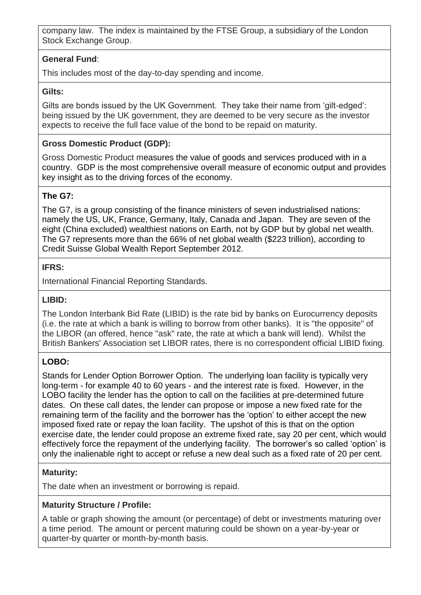[company law.](http://en.wikipedia.org/wiki/UK_company_law) The index is maintained by the [FTSE Group,](http://en.wikipedia.org/wiki/FTSE_Group) a subsidiary of the [London](http://en.wikipedia.org/wiki/London_Stock_Exchange_Group)  [Stock Exchange Group.](http://en.wikipedia.org/wiki/London_Stock_Exchange_Group)

### **General Fund**:

This includes most of the day-to-day spending and income.

## **Gilts:**

Gilts are bonds issued by the UK Government. They take their name from 'gilt-edged': being issued by the UK government, they are deemed to be very secure as the investor expects to receive the full face value of the bond to be repaid on maturity.

## **Gross Domestic Product (GDP):**

Gross Domestic Product measures the value of goods and services produced with in a country. GDP is the most comprehensive overall measure of economic output and provides key insight as to the driving forces of the economy.

# **The G7:**

The G7, is a group consisting of the [finance ministers](http://en.wikipedia.org/wiki/Finance_minister) of seven industrialised nations: namely the US, UK, France, Germany, Italy, Canada and Japan. They are seven of the eight (China excluded) wealthiest nations on Earth, not by GDP but by global [net wealth.](http://en.wikipedia.org/wiki/National_wealth) The G7 represents more than the 66% of net global wealth (\$223 trillion), according to Credit Suisse Global Wealth Report September 2012.

# **IFRS:**

International Financial Reporting Standards.

## **LIBID:**

The London Interbank Bid Rate (LIBID) is the rate bid by banks on [Eurocurrency](http://en.wikipedia.org/wiki/Eurocurrency) deposits (i.e. the rate at which a bank is willing to borrow from other banks). It is "the opposite" of the [LIBOR](http://en.wikipedia.org/wiki/London_Interbank_Offered_Rate) (an offered, hence "ask" rate, the rate at which a bank will lend). Whilst the [British Bankers' Association](http://en.wikipedia.org/wiki/British_Bankers%27_Association) set LIBOR rates, there is no correspondent official LIBID fixing.

### **LOBO:**

Stands for Lender Option Borrower Option. The underlying loan facility is typically very long-term - for example 40 to 60 years - and the interest rate is fixed. However, in the LOBO facility the lender has the option to call on the facilities at pre-determined future dates. On these call dates, the lender can propose or impose a new fixed rate for the remaining term of the facility and the borrower has the 'option' to either accept the new imposed fixed rate or repay the loan facility. The upshot of this is that on the option exercise date, the lender could propose an extreme fixed rate, say 20 per cent, which would effectively force the repayment of the underlying facility. The borrower's so called 'option' is only the inalienable right to accept or refuse a new deal such as a fixed rate of 20 per cent.

### **Maturity:**

The date when an investment or borrowing is repaid.

### **Maturity Structure / Profile:**

A table or graph showing the amount (or percentage) of debt or investments maturing over a time period. The amount or percent maturing could be shown on a year-by-year or quarter-by quarter or month-by-month basis.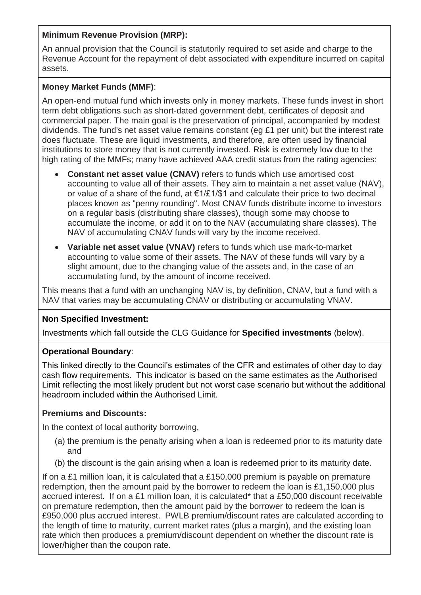# **Minimum Revenue Provision (MRP):**

An annual provision that the Council is statutorily required to set aside and charge to the Revenue Account for the repayment of debt associated with expenditure incurred on capital assets.

## **Money Market Funds (MMF)**:

An open-end mutual fund which invests only in money markets. These funds invest in short term debt obligations such as short-dated government debt, certificates of deposit and commercial paper. The main goal is the preservation of principal, accompanied by modest dividends. The fund's net asset value remains constant (eg £1 per unit) but the interest rate does fluctuate. These are liquid investments, and therefore, are often used by financial institutions to store money that is not currently invested. Risk is extremely low due to the high rating of the MMFs; many have achieved AAA credit status from the rating agencies:

- **Constant net asset value (CNAV)** refers to funds which use amortised cost accounting to value all of their assets. They aim to maintain a net asset value (NAV), or value of a share of the fund, at  $\epsilon$ 1/£1/\$1 and calculate their price to two decimal places known as "penny rounding". Most CNAV funds distribute income to investors on a regular basis (distributing share classes), though some may choose to accumulate the income, or add it on to the NAV (accumulating share classes). The NAV of accumulating CNAV funds will vary by the income received.
- **Variable net asset value (VNAV)** refers to funds which use mark-to-market accounting to value some of their assets. The NAV of these funds will vary by a slight amount, due to the changing value of the assets and, in the case of an accumulating fund, by the amount of income received.

This means that a fund with an unchanging NAV is, by definition, CNAV, but a fund with a NAV that varies may be accumulating CNAV or distributing or accumulating VNAV.

# **Non Specified Investment:**

Investments which fall outside the CLG Guidance for **Specified investments** (below).

### **Operational Boundary**:

This linked directly to the Council's estimates of the CFR and estimates of other day to day cash flow requirements. This indicator is based on the same estimates as the Authorised Limit reflecting the most likely prudent but not worst case scenario but without the additional headroom included within the Authorised Limit.

### **Premiums and Discounts:**

In the context of local authority borrowing,

- (a) the premium is the penalty arising when a loan is redeemed prior to its maturity date and
- (b) the discount is the gain arising when a loan is redeemed prior to its maturity date.

If on a £1 million loan, it is calculated that a £150,000 premium is payable on premature redemption, then the amount paid by the borrower to redeem the loan is £1,150,000 plus accrued interest. If on a £1 million loan, it is calculated\* that a £50,000 discount receivable on premature redemption, then the amount paid by the borrower to redeem the loan is £950,000 plus accrued interest. PWLB premium/discount rates are calculated according to the length of time to maturity, current market rates (plus a margin), and the existing loan rate which then produces a premium/discount dependent on whether the discount rate is lower/higher than the coupon rate.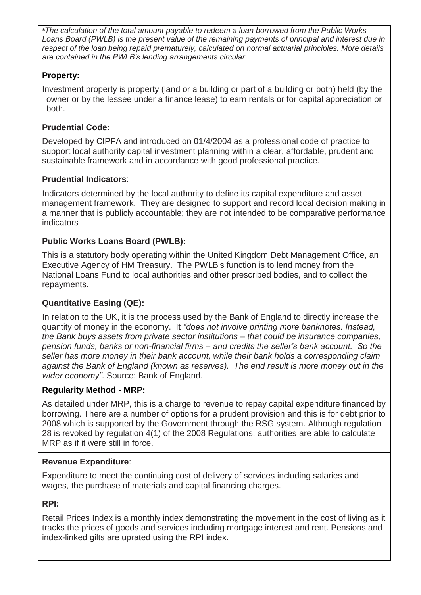*\*The calculation of the total amount payable to redeem a loan borrowed from the Public Works Loans Board (PWLB) is the present value of the remaining payments of principal and interest due in respect of the loan being repaid prematurely, calculated on normal actuarial principles. More details are contained in the PWLB's lending arrangements circular.*

### **Property:**

Investment property is property (land or a building or part of a building or both) held (by the owner or by the lessee under a finance lease) to earn rentals or for capital appreciation or both.

## **Prudential Code:**

Developed by CIPFA and introduced on 01/4/2004 as a professional code of practice to support local authority capital investment planning within a clear, affordable, prudent and sustainable framework and in accordance with good professional practice.

### **Prudential Indicators**:

Indicators determined by the local authority to define its capital expenditure and asset management framework. They are designed to support and record local decision making in a manner that is publicly accountable; they are not intended to be comparative performance indicators

# **Public Works Loans Board (PWLB):**

This is a statutory body operating within the United Kingdom Debt Management Office, an Executive Agency of HM Treasury. The PWLB's function is to lend money from the National Loans Fund to local authorities and other prescribed bodies, and to collect the repayments.

# **Quantitative Easing (QE):**

In relation to the UK, it is the process used by the Bank of England to directly increase the quantity of money in the economy. It *"does not involve printing more banknotes. Instead, the Bank buys assets from private sector institutions – that could be insurance companies, pension funds, banks or non-financial firms – and credits the seller's bank account. So the seller has more money in their bank account, while their bank holds a corresponding claim against the Bank of England (known as reserves). The end result is more money out in the wider economy"*. Source: Bank of England.

### **Regularity Method - MRP:**

As detailed under MRP, this is a charge to revenue to repay capital expenditure financed by borrowing. There are a number of options for a prudent provision and this is for debt prior to 2008 which is supported by the Government through the RSG system. Although regulation 28 is revoked by regulation 4(1) of the 2008 Regulations, authorities are able to calculate MRP as if it were still in force.

# **Revenue Expenditure**:

Expenditure to meet the continuing cost of delivery of services including salaries and wages, the purchase of materials and capital financing charges.

### **RPI:**

Retail Prices Index is a monthly index demonstrating the movement in the cost of living as it tracks the prices of goods and services including mortgage interest and rent. Pensions and index-linked gilts are uprated using the RPI index.